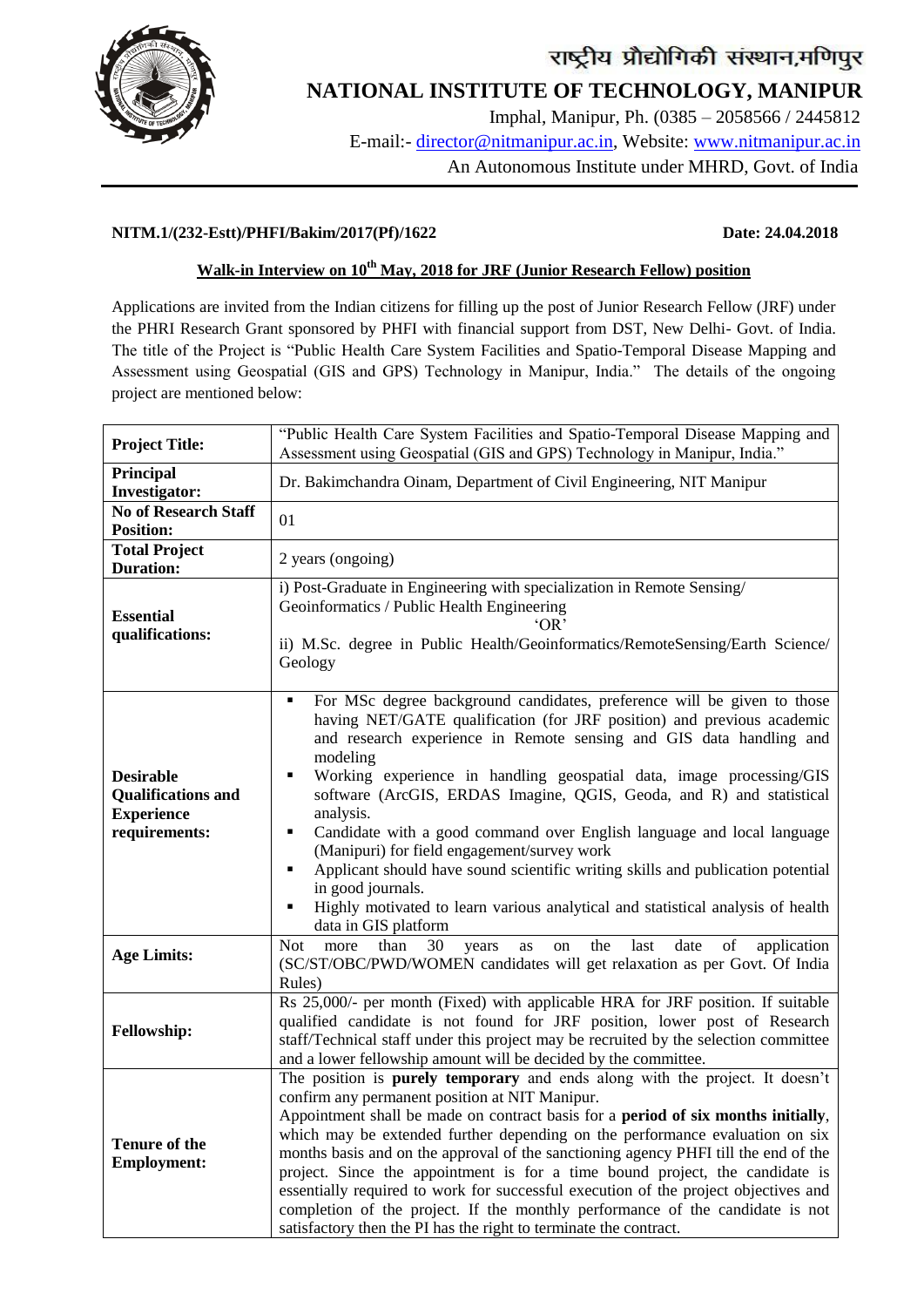

# राष्ट्रीय प्रौद्योगिकी संस्थान,मणिपुर

## **NATIONAL INSTITUTE OF TECHNOLOGY, MANIPUR**

 Imphal, Manipur, Ph. (0385 – 2058566 / 2445812 E-mail:- director@nitmanipur.ac.in, Website: www.nitmanipur.ac.in An Autonomous Institute under MHRD, Govt. of India

### **NITM.1/(232-Estt)/PHFI/Bakim/2017(Pf)/1622 Date: 24.04.2018**

### **Walk-in Interview on 10th May, 2018 for JRF (Junior Research Fellow) position**

Applications are invited from the Indian citizens for filling up the post of Junior Research Fellow (JRF) under the PHRI Research Grant sponsored by PHFI with financial support from DST, New Delhi- Govt. of India. The title of the Project is "Public Health Care System Facilities and Spatio-Temporal Disease Mapping and Assessment using Geospatial (GIS and GPS) Technology in Manipur, India." The details of the ongoing project are mentioned below:

| <b>Project Title:</b>                                                               | "Public Health Care System Facilities and Spatio-Temporal Disease Mapping and<br>Assessment using Geospatial (GIS and GPS) Technology in Manipur, India."                                                                                                                                                                                                                                                                                                                                                                                                                                                                                                                                                                                                         |
|-------------------------------------------------------------------------------------|-------------------------------------------------------------------------------------------------------------------------------------------------------------------------------------------------------------------------------------------------------------------------------------------------------------------------------------------------------------------------------------------------------------------------------------------------------------------------------------------------------------------------------------------------------------------------------------------------------------------------------------------------------------------------------------------------------------------------------------------------------------------|
| Principal<br><b>Investigator:</b>                                                   | Dr. Bakimchandra Oinam, Department of Civil Engineering, NIT Manipur                                                                                                                                                                                                                                                                                                                                                                                                                                                                                                                                                                                                                                                                                              |
| No of Research Staff<br><b>Position:</b>                                            | 01                                                                                                                                                                                                                                                                                                                                                                                                                                                                                                                                                                                                                                                                                                                                                                |
| <b>Total Project</b><br><b>Duration:</b>                                            | 2 years (ongoing)                                                                                                                                                                                                                                                                                                                                                                                                                                                                                                                                                                                                                                                                                                                                                 |
| <b>Essential</b><br>qualifications:                                                 | i) Post-Graduate in Engineering with specialization in Remote Sensing/<br>Geoinformatics / Public Health Engineering<br>'OR<br>ii) M.Sc. degree in Public Health/Geoinformatics/RemoteSensing/Earth Science/<br>Geology                                                                                                                                                                                                                                                                                                                                                                                                                                                                                                                                           |
| <b>Desirable</b><br><b>Qualifications and</b><br><b>Experience</b><br>requirements: | For MSc degree background candidates, preference will be given to those<br>٠<br>having NET/GATE qualification (for JRF position) and previous academic<br>and research experience in Remote sensing and GIS data handling and<br>modeling<br>Working experience in handling geospatial data, image processing/GIS<br>п<br>software (ArcGIS, ERDAS Imagine, QGIS, Geoda, and R) and statistical<br>analysis.<br>Candidate with a good command over English language and local language<br>٠<br>(Manipuri) for field engagement/survey work<br>Applicant should have sound scientific writing skills and publication potential<br>п<br>in good journals.<br>Highly motivated to learn various analytical and statistical analysis of health<br>data in GIS platform |
| <b>Age Limits:</b>                                                                  | 30<br>date<br>of<br>application<br>Not<br>than<br>the<br>last<br>more<br>years<br>on<br>as<br>(SC/ST/OBC/PWD/WOMEN candidates will get relaxation as per Govt. Of India<br>Rules)                                                                                                                                                                                                                                                                                                                                                                                                                                                                                                                                                                                 |
| Fellowship:                                                                         | Rs 25,000/- per month (Fixed) with applicable HRA for JRF position. If suitable<br>qualified candidate is not found for JRF position, lower post of Research<br>staff/Technical staff under this project may be recruited by the selection committee<br>and a lower fellowship amount will be decided by the committee.                                                                                                                                                                                                                                                                                                                                                                                                                                           |
| <b>Tenure of the</b><br><b>Employment:</b>                                          | The position is <b>purely temporary</b> and ends along with the project. It doesn't<br>confirm any permanent position at NIT Manipur.<br>Appointment shall be made on contract basis for a <b>period of six months initially</b> ,<br>which may be extended further depending on the performance evaluation on six<br>months basis and on the approval of the sanctioning agency PHFI till the end of the<br>project. Since the appointment is for a time bound project, the candidate is<br>essentially required to work for successful execution of the project objectives and<br>completion of the project. If the monthly performance of the candidate is not<br>satisfactory then the PI has the right to terminate the contract.                            |